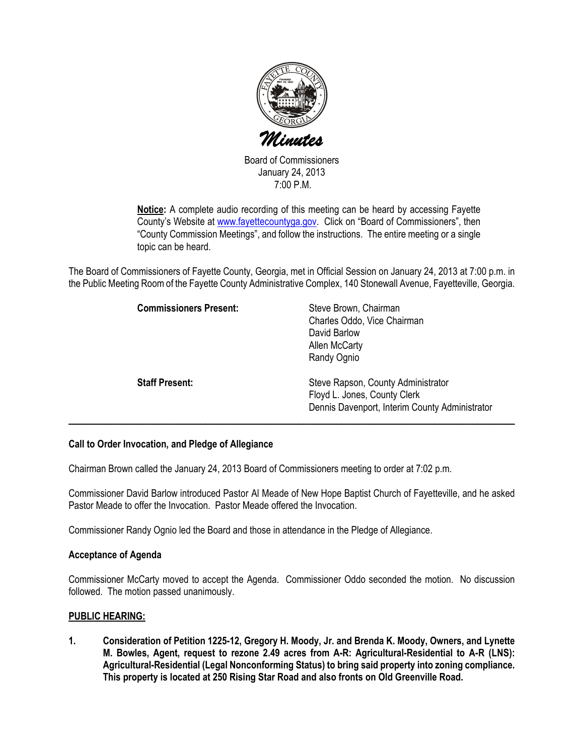

Board of Commissioners January 24, 2013 7:00 P.M.

Notice: A complete audio recording of this meeting can be heard by accessing Fayette County's Website at www.fayettecountyga.gov. Click on "Board of Commissioners", then "County Commission Meetings", and follow the instructions. The entire meeting or a single topic can be heard.

The Board of Commissioners of Fayette County, Georgia, met in Official Session on January 24, 2013 at 7:00 p.m. in the Public Meeting Room of the Fayette County Administrative Complex, 140 Stonewall Avenue, Fayetteville, Georgia.

| <b>Commissioners Present:</b> | Steve Brown, Chairman<br>Charles Oddo, Vice Chairman<br>David Barlow<br>Allen McCarty<br>Randy Ognio                 |
|-------------------------------|----------------------------------------------------------------------------------------------------------------------|
| <b>Staff Present:</b>         | Steve Rapson, County Administrator<br>Floyd L. Jones, County Clerk<br>Dennis Davenport, Interim County Administrator |

#### Call to Order Invocation, and Pledge of Allegiance

Chairman Brown called the January 24, 2013 Board of Commissioners meeting to order at 7:02 p.m.

Commissioner David Barlow introduced Pastor Al Meade of New Hope Baptist Church of Fayetteville, and he asked Pastor Meade to offer the Invocation. Pastor Meade offered the Invocation.

Commissioner Randy Ognio led the Board and those in attendance in the Pledge of Allegiance.

#### Acceptance of Agenda

Commissioner McCarty moved to accept the Agenda. Commissioner Oddo seconded the motion. No discussion followed. The motion passed unanimously.

#### PUBLIC HEARING:

1. Consideration of Petition 1225-12, Gregory H. Moody, Jr. and Brenda K. Moody, Owners, and Lynette M. Bowles, Agent, request to rezone 2.49 acres from A-R: Agricultural-Residential to A-R (LNS): Agricultural-Residential (Legal Nonconforming Status) to bring said property into zoning compliance. This property is located at 250 Rising Star Road and also fronts on Old Greenville Road.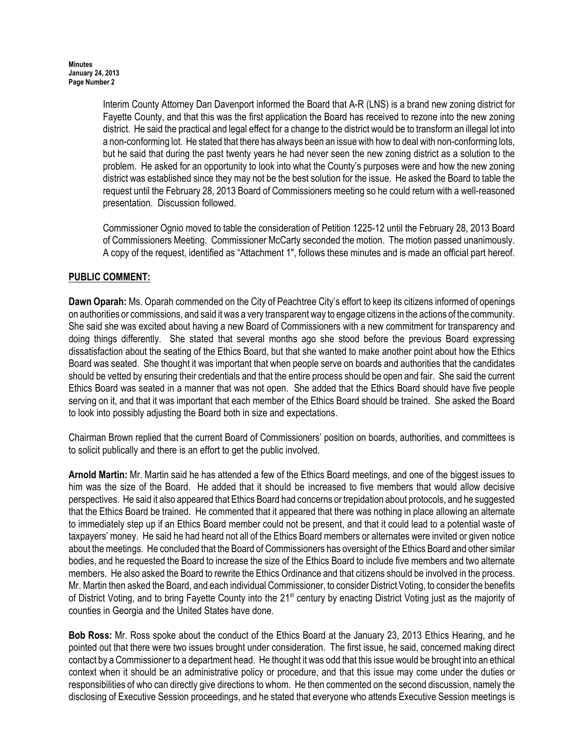Interim County Attorney Dan Davenport informed the Board that A-R (LNS) is a brand new zoning district for Fayette County, and that this was the first application the Board has received to rezone into the new zoning district. He said the practical and legal effect for a change to the district would be to transform an illegal lot into a non-conforming lot. He stated that there has always been an issue with how to deal with non-conforming lots, but he said that during the past twenty years he had never seen the new zoning district as a solution to the problem. He asked for an opportunity to look into what the County's purposes were and how the new zoning district was established since they may not be the best solution for the issue. He asked the Board to table the request until the February 28, 2013 Board of Commissioners meeting so he could return with a well-reasoned presentation. Discussion followed.

Commissioner Ognio moved to table the consideration of Petition 1225-12 until the February 28, 2013 Board of Commissioners Meeting. Commissioner McCarty seconded the motion. The motion passed unanimously. A copy of the request, identified as "Attachment 1", follows these minutes and is made an official part hereof.

# PUBLIC COMMENT:

Dawn Oparah: Ms. Oparah commended on the City of Peachtree City's effort to keep its citizens informed of openings on authorities or commissions, and said it was a very transparent way to engage citizens in the actions of the community. She said she was excited about having a new Board of Commissioners with a new commitment for transparency and doing things differently. She stated that several months ago she stood before the previous Board expressing dissatisfaction about the seating of the Ethics Board, but that she wanted to make another point about how the Ethics Board was seated. She thought it was important that when people serve on boards and authorities that the candidates should be vetted by ensuring their credentials and that the entire process should be open and fair. She said the current Ethics Board was seated in a manner that was not open. She added that the Ethics Board should have five people serving on it, and that it was important that each member of the Ethics Board should be trained. She asked the Board to look into possibly adjusting the Board both in size and expectations.

Chairman Brown replied that the current Board of Commissioners' position on boards, authorities, and committees is to solicit publically and there is an effort to get the public involved.

Arnold Martin: Mr. Martin said he has attended a few of the Ethics Board meetings, and one of the biggest issues to him was the size of the Board. He added that it should be increased to five members that would allow decisive perspectives. He said it also appeared that Ethics Board had concerns or trepidation about protocols, and he suggested that the Ethics Board be trained. He commented that it appeared that there was nothing in place allowing an alternate to immediately step up if an Ethics Board member could not be present, and that it could lead to a potential waste of taxpayers' money. He said he had heard not all of the Ethics Board members or alternates were invited or given notice about the meetings. He concluded that the Board of Commissioners has oversight of the Ethics Board and other similar bodies, and he requested the Board to increase the size of the Ethics Board to include five members and two alternate members. He also asked the Board to rewrite the Ethics Ordinance and that citizens should be involved in the process. Mr. Martin then asked the Board, and each individual Commissioner, to consider District Voting, to consider the benefits of District Voting, and to bring Fayette County into the 21<sup>st</sup> century by enacting District Voting just as the majority of counties in Georgia and the United States have done.

Bob Ross: Mr. Ross spoke about the conduct of the Ethics Board at the January 23, 2013 Ethics Hearing, and he pointed out that there were two issues brought under consideration. The first issue, he said, concerned making direct contact by a Commissioner to a department head. He thought it was odd that this issue would be brought into an ethical context when it should be an administrative policy or procedure, and that this issue may come under the duties or responsibilities of who can directly give directions to whom. He then commented on the second discussion, namely the disclosing of Executive Session proceedings, and he stated that everyone who attends Executive Session meetings is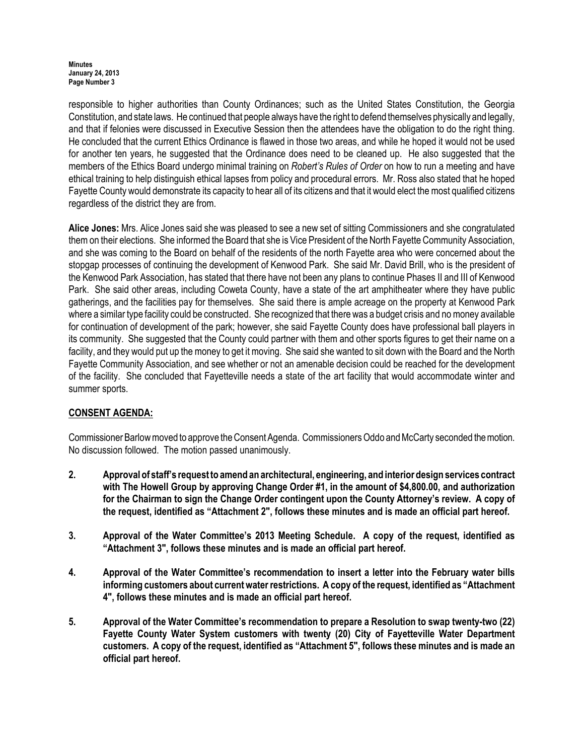Minutes January 24, 2013 Page Number 3

responsible to higher authorities than County Ordinances; such as the United States Constitution, the Georgia Constitution, and state laws. He continued that people always have the right to defend themselves physically and legally, and that if felonies were discussed in Executive Session then the attendees have the obligation to do the right thing. He concluded that the current Ethics Ordinance is flawed in those two areas, and while he hoped it would not be used for another ten years, he suggested that the Ordinance does need to be cleaned up. He also suggested that the members of the Ethics Board undergo minimal training on Robert's Rules of Order on how to run a meeting and have ethical training to help distinguish ethical lapses from policy and procedural errors. Mr. Ross also stated that he hoped Fayette County would demonstrate its capacity to hear all of its citizens and that it would elect the most qualified citizens regardless of the district they are from.

Alice Jones: Mrs. Alice Jones said she was pleased to see a new set of sitting Commissioners and she congratulated them on their elections. She informed the Board that she is Vice President of the North Fayette Community Association, and she was coming to the Board on behalf of the residents of the north Fayette area who were concerned about the stopgap processes of continuing the development of Kenwood Park. She said Mr. David Brill, who is the president of the Kenwood Park Association, has stated that there have not been any plans to continue Phases II and III of Kenwood Park. She said other areas, including Coweta County, have a state of the art amphitheater where they have public gatherings, and the facilities pay for themselves. She said there is ample acreage on the property at Kenwood Park where a similar type facility could be constructed. She recognized that there was a budget crisis and no money available for continuation of development of the park; however, she said Fayette County does have professional ball players in its community. She suggested that the County could partner with them and other sports figures to get their name on a facility, and they would put up the money to get it moving. She said she wanted to sit down with the Board and the North Fayette Community Association, and see whether or not an amenable decision could be reached for the development of the facility. She concluded that Fayetteville needs a state of the art facility that would accommodate winter and summer sports.

# CONSENT AGENDA:

Commissioner Barlow moved to approve the Consent Agenda. Commissioners Oddo and McCarty seconded the motion. No discussion followed. The motion passed unanimously.

- 2. Approval of staff's request to amend an architectural, engineering, and interior design services contract with The Howell Group by approving Change Order #1, in the amount of \$4,800.00, and authorization for the Chairman to sign the Change Order contingent upon the County Attorney's review. A copy of the request, identified as "Attachment 2", follows these minutes and is made an official part hereof.
- 3. Approval of the Water Committee's 2013 Meeting Schedule. A copy of the request, identified as "Attachment 3", follows these minutes and is made an official part hereof.
- 4. Approval of the Water Committee's recommendation to insert a letter into the February water bills informing customers about current water restrictions. A copy of the request, identified as "Attachment 4", follows these minutes and is made an official part hereof.
- 5. Approval of the Water Committee's recommendation to prepare a Resolution to swap twenty-two (22) Fayette County Water System customers with twenty (20) City of Fayetteville Water Department customers. A copy of the request, identified as "Attachment 5", follows these minutes and is made an official part hereof.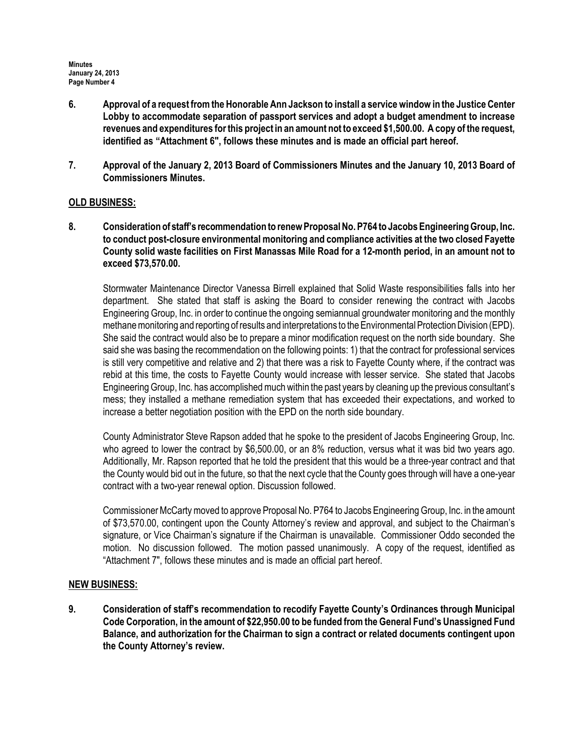- 6. Approval of a request from the Honorable Ann Jackson to install a service window in the Justice Center Lobby to accommodate separation of passport services and adopt a budget amendment to increase revenues and expenditures for this project in an amount not to exceed \$1,500.00. A copy of the request, identified as "Attachment 6", follows these minutes and is made an official part hereof.
- 7. Approval of the January 2, 2013 Board of Commissioners Minutes and the January 10, 2013 Board of Commissioners Minutes.

#### OLD BUSINESS:

8. Consideration of staff's recommendation to renew Proposal No. P764 to Jacobs Engineering Group, Inc. to conduct post-closure environmental monitoring and compliance activities at the two closed Fayette County solid waste facilities on First Manassas Mile Road for a 12-month period, in an amount not to exceed \$73,570.00.

Stormwater Maintenance Director Vanessa Birrell explained that Solid Waste responsibilities falls into her department. She stated that staff is asking the Board to consider renewing the contract with Jacobs Engineering Group, Inc. in order to continue the ongoing semiannual groundwater monitoring and the monthly methane monitoring and reporting of results and interpretations to the Environmental Protection Division (EPD). She said the contract would also be to prepare a minor modification request on the north side boundary. She said she was basing the recommendation on the following points: 1) that the contract for professional services is still very competitive and relative and 2) that there was a risk to Fayette County where, if the contract was rebid at this time, the costs to Fayette County would increase with lesser service. She stated that Jacobs Engineering Group, Inc. has accomplished much within the past years by cleaning up the previous consultant's mess; they installed a methane remediation system that has exceeded their expectations, and worked to increase a better negotiation position with the EPD on the north side boundary.

County Administrator Steve Rapson added that he spoke to the president of Jacobs Engineering Group, Inc. who agreed to lower the contract by \$6,500.00, or an 8% reduction, versus what it was bid two years ago. Additionally, Mr. Rapson reported that he told the president that this would be a three-year contract and that the County would bid out in the future, so that the next cycle that the County goes through will have a one-year contract with a two-year renewal option. Discussion followed.

Commissioner McCarty moved to approve Proposal No. P764 to Jacobs Engineering Group, Inc. in the amount of \$73,570.00, contingent upon the County Attorney's review and approval, and subject to the Chairman's signature, or Vice Chairman's signature if the Chairman is unavailable. Commissioner Oddo seconded the motion. No discussion followed. The motion passed unanimously. A copy of the request, identified as "Attachment 7", follows these minutes and is made an official part hereof.

#### NEW BUSINESS:

9. Consideration of staff's recommendation to recodify Fayette County's Ordinances through Municipal Code Corporation, in the amount of \$22,950.00 to be funded from the General Fund's Unassigned Fund Balance, and authorization for the Chairman to sign a contract or related documents contingent upon the County Attorney's review.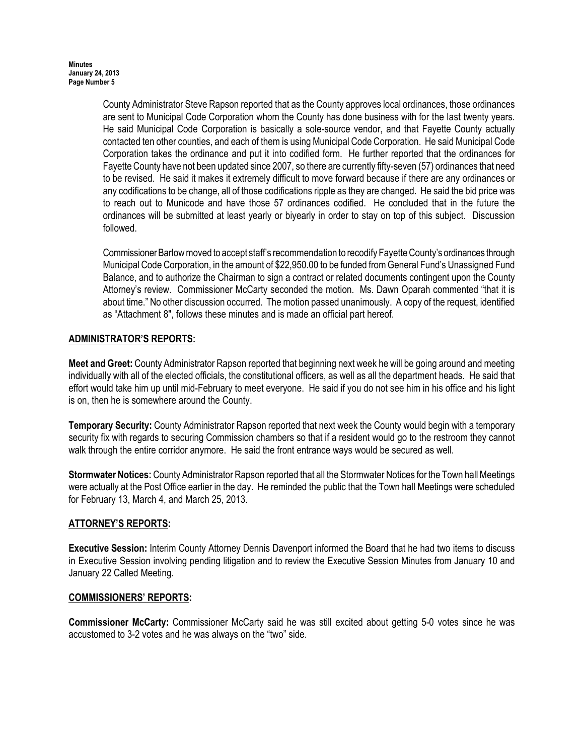County Administrator Steve Rapson reported that as the County approves local ordinances, those ordinances are sent to Municipal Code Corporation whom the County has done business with for the last twenty years. He said Municipal Code Corporation is basically a sole-source vendor, and that Fayette County actually contacted ten other counties, and each of them is using Municipal Code Corporation. He said Municipal Code Corporation takes the ordinance and put it into codified form. He further reported that the ordinances for Fayette County have not been updated since 2007, so there are currently fifty-seven (57) ordinances that need to be revised. He said it makes it extremely difficult to move forward because if there are any ordinances or any codifications to be change, all of those codifications ripple as they are changed. He said the bid price was to reach out to Municode and have those 57 ordinances codified. He concluded that in the future the ordinances will be submitted at least yearly or biyearly in order to stay on top of this subject. Discussion followed.

Commissioner Barlow moved to accept staff's recommendation to recodify Fayette County's ordinances through Municipal Code Corporation, in the amount of \$22,950.00 to be funded from General Fund's Unassigned Fund Balance, and to authorize the Chairman to sign a contract or related documents contingent upon the County Attorney's review. Commissioner McCarty seconded the motion. Ms. Dawn Oparah commented "that it is about time." No other discussion occurred. The motion passed unanimously. A copy of the request, identified as "Attachment 8", follows these minutes and is made an official part hereof.

# ADMINISTRATOR'S REPORTS:

Meet and Greet: County Administrator Rapson reported that beginning next week he will be going around and meeting individually with all of the elected officials, the constitutional officers, as well as all the department heads. He said that effort would take him up until mid-February to meet everyone. He said if you do not see him in his office and his light is on, then he is somewhere around the County.

Temporary Security: County Administrator Rapson reported that next week the County would begin with a temporary security fix with regards to securing Commission chambers so that if a resident would go to the restroom they cannot walk through the entire corridor anymore. He said the front entrance ways would be secured as well.

Stormwater Notices: County Administrator Rapson reported that all the Stormwater Notices for the Town hall Meetings were actually at the Post Office earlier in the day. He reminded the public that the Town hall Meetings were scheduled for February 13, March 4, and March 25, 2013.

# ATTORNEY'S REPORTS:

Executive Session: Interim County Attorney Dennis Davenport informed the Board that he had two items to discuss in Executive Session involving pending litigation and to review the Executive Session Minutes from January 10 and January 22 Called Meeting.

#### COMMISSIONERS' REPORTS:

Commissioner McCarty: Commissioner McCarty said he was still excited about getting 5-0 votes since he was accustomed to 3-2 votes and he was always on the "two" side.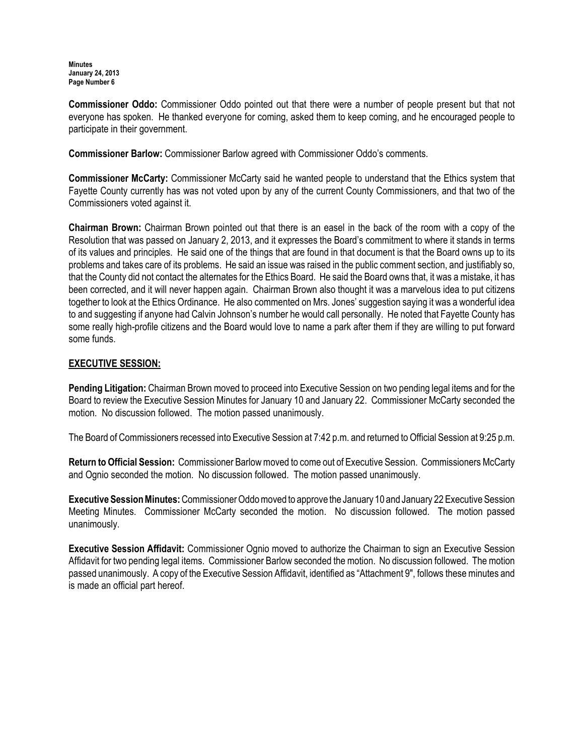**Minutes** January 24, 2013 Page Number 6

Commissioner Oddo: Commissioner Oddo pointed out that there were a number of people present but that not everyone has spoken. He thanked everyone for coming, asked them to keep coming, and he encouraged people to participate in their government.

Commissioner Barlow: Commissioner Barlow agreed with Commissioner Oddo's comments.

Commissioner McCarty: Commissioner McCarty said he wanted people to understand that the Ethics system that Fayette County currently has was not voted upon by any of the current County Commissioners, and that two of the Commissioners voted against it.

Chairman Brown: Chairman Brown pointed out that there is an easel in the back of the room with a copy of the Resolution that was passed on January 2, 2013, and it expresses the Board's commitment to where it stands in terms of its values and principles. He said one of the things that are found in that document is that the Board owns up to its problems and takes care of its problems. He said an issue was raised in the public comment section, and justifiably so, that the County did not contact the alternates for the Ethics Board. He said the Board owns that, it was a mistake, it has been corrected, and it will never happen again. Chairman Brown also thought it was a marvelous idea to put citizens together to look at the Ethics Ordinance. He also commented on Mrs. Jones' suggestion saying it was a wonderful idea to and suggesting if anyone had Calvin Johnson's number he would call personally. He noted that Fayette County has some really high-profile citizens and the Board would love to name a park after them if they are willing to put forward some funds.

### EXECUTIVE SESSION:

Pending Litigation: Chairman Brown moved to proceed into Executive Session on two pending legal items and for the Board to review the Executive Session Minutes for January 10 and January 22. Commissioner McCarty seconded the motion. No discussion followed. The motion passed unanimously.

The Board of Commissioners recessed into Executive Session at 7:42 p.m. and returned to Official Session at 9:25 p.m.

Return to Official Session: Commissioner Barlow moved to come out of Executive Session. Commissioners McCarty and Ognio seconded the motion. No discussion followed. The motion passed unanimously.

Executive Session Minutes: Commissioner Oddo moved to approve the January 10 and January 22 Executive Session Meeting Minutes. Commissioner McCarty seconded the motion. No discussion followed. The motion passed unanimously.

Executive Session Affidavit: Commissioner Ognio moved to authorize the Chairman to sign an Executive Session Affidavit for two pending legal items. Commissioner Barlow seconded the motion. No discussion followed. The motion passed unanimously. A copy of the Executive Session Affidavit, identified as "Attachment 9", follows these minutes and is made an official part hereof.